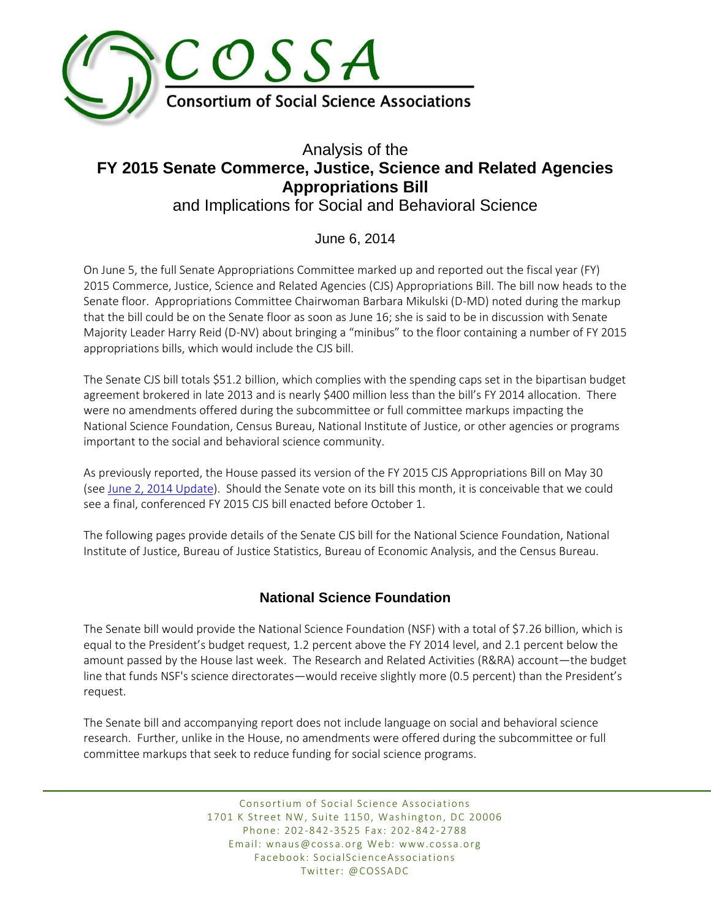

# Analysis of the **FY 2015 Senate Commerce, Justice, Science and Related Agencies Appropriations Bill**  and Implications for Social and Behavioral Science

## June 6, 2014

On June 5, the full Senate Appropriations Committee marked up and reported out the fiscal year (FY) 2015 Commerce, Justice, Science and Related Agencies (CJS) Appropriations Bill. The bill now heads to the Senate floor. Appropriations Committee Chairwoman Barbara Mikulski (D-MD) noted during the markup that the bill could be on the Senate floor as soon as June 16; she is said to be in discussion with Senate Majority Leader Harry Reid (D-NV) about bringing a "minibus" to the floor containing a number of FY 2015 appropriations bills, which would include the CJS bill.

The Senate CJS bill totals \$51.2 billion, which complies with the spending caps set in the bipartisan budget agreement brokered in late 2013 and is nearly \$400 million less than the bill's FY 2014 allocation. There were no amendments offered during the subcommittee or full committee markups impacting the National Science Foundation, Census Bureau, National Institute of Justice, or other agencies or programs important to the social and behavioral science community.

As previously reported, the House passed its version of the FY 2015 CJS Appropriations Bill on May 30 (see [June 2, 2014 Update\)](http://archive.constantcontact.com/fs177/1102766514430/archive/1117524251402.html#LETTER.BLOCK59). Should the Senate vote on its bill this month, it is conceivable that we could see a final, conferenced FY 2015 CJS bill enacted before October 1.

The following pages provide details of the Senate CJS bill for the National Science Foundation, National Institute of Justice, Bureau of Justice Statistics, Bureau of Economic Analysis, and the Census Bureau.

## **National Science Foundation**

The Senate bill would provide the National Science Foundation (NSF) with a total of \$7.26 billion, which is equal to the President's budget request, 1.2 percent above the FY 2014 level, and 2.1 percent below the amount passed by the House last week. The Research and Related Activities (R&RA) account—the budget line that funds NSF's science directorates—would receive slightly more (0.5 percent) than the President's request.

The Senate bill and accompanying report does not include language on social and behavioral science research. Further, unlike in the House, no amendments were offered during the subcommittee or full committee markups that seek to reduce funding for social science programs.

> Consortium of Social Science Associations 1701 K Street NW, Suite 1150, Washington, DC 20006 Phone: 202-842-3525 Fax: 202-842-2788 Email: wnaus@cossa.org Web: www.cossa.org Facebook: SocialScienceAssociations Twitter: @COSSADC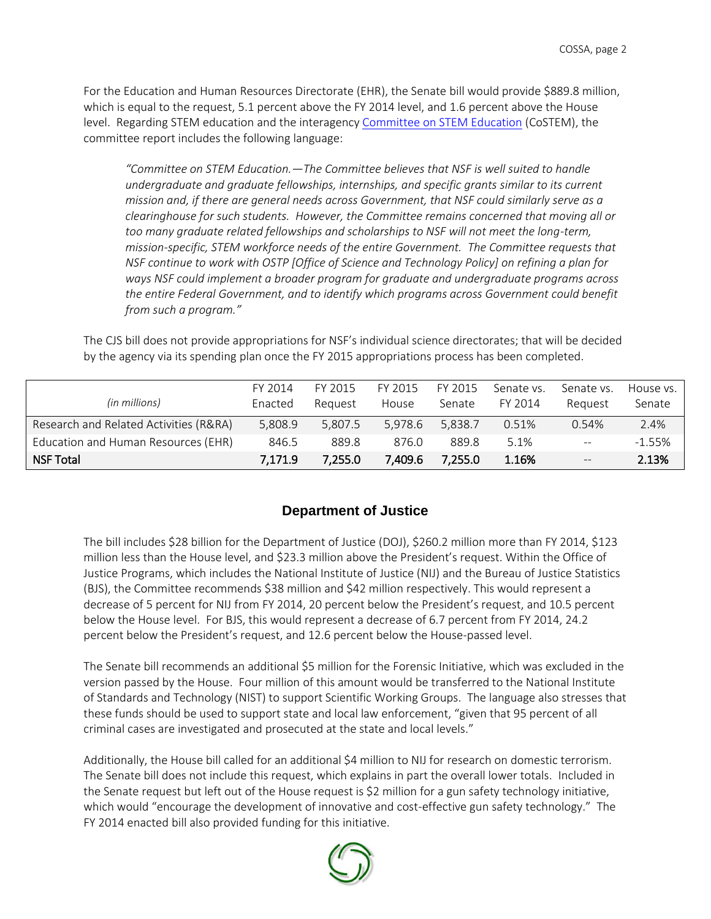For the Education and Human Resources Directorate (EHR), the Senate bill would provide \$889.8 million, which is equal to the request, 5.1 percent above the FY 2014 level, and 1.6 percent above the House level. Regarding STEM education and the interagency [Committee on STEM Education](http://www.whitehouse.gov/administration/eop/ostp/nstc/committees/costem) (CoSTEM), the committee report includes the following language:

*"Committee on STEM Education.—The Committee believes that NSF is well suited to handle undergraduate and graduate fellowships, internships, and specific grants similar to its current mission and, if there are general needs across Government, that NSF could similarly serve as a clearinghouse for such students. However, the Committee remains concerned that moving all or too many graduate related fellowships and scholarships to NSF will not meet the long-term, mission-specific, STEM workforce needs of the entire Government. The Committee requests that NSF continue to work with OSTP [Office of Science and Technology Policy] on refining a plan for ways NSF could implement a broader program for graduate and undergraduate programs across the entire Federal Government, and to identify which programs across Government could benefit from such a program."*

The CJS bill does not provide appropriations for NSF's individual science directorates; that will be decided by the agency via its spending plan once the FY 2015 appropriations process has been completed.

|                                        | FY 2014 | FY 2015 | FY 2015 | FY 2015 | Senate vs. | Senate vs.               | House vs. I |
|----------------------------------------|---------|---------|---------|---------|------------|--------------------------|-------------|
| (in millions)                          | Enacted | Reauest | House   | Senate  | FY 2014    | Reauest                  | Senate      |
| Research and Related Activities (R&RA) | 5.808.9 | 5.807.5 | 5.978.6 | 5.838.7 | 0.51%      | 0.54%                    | 2.4%        |
| Education and Human Resources (EHR)    | 846.5   | 889.8   | 876.0   | 889.8   | 5.1%       | $\overline{\phantom{m}}$ | $-1.55\%$   |
| <b>NSF Total</b>                       | 7,171.9 | 7.255.0 | 7,409.6 | 7,255.0 | 1.16%      | $\qquad \qquad -$        | 2.13%       |

### **Department of Justice**

The bill includes \$28 billion for the Department of Justice (DOJ), \$260.2 million more than FY 2014, \$123 million less than the House level, and \$23.3 million above the President's request. Within the Office of Justice Programs, which includes the National Institute of Justice (NIJ) and the Bureau of Justice Statistics (BJS), the Committee recommends \$38 million and \$42 million respectively. This would represent a decrease of 5 percent for NIJ from FY 2014, 20 percent below the President's request, and 10.5 percent below the House level. For BJS, this would represent a decrease of 6.7 percent from FY 2014, 24.2 percent below the President's request, and 12.6 percent below the House-passed level.

The Senate bill recommends an additional \$5 million for the Forensic Initiative, which was excluded in the version passed by the House. Four million of this amount would be transferred to the National Institute of Standards and Technology (NIST) to support Scientific Working Groups. The language also stresses that these funds should be used to support state and local law enforcement, "given that 95 percent of all criminal cases are investigated and prosecuted at the state and local levels."

Additionally, the House bill called for an additional \$4 million to NIJ for research on domestic terrorism. The Senate bill does not include this request, which explains in part the overall lower totals. Included in the Senate request but left out of the House request is \$2 million for a gun safety technology initiative, which would "encourage the development of innovative and cost-effective gun safety technology." The FY 2014 enacted bill also provided funding for this initiative.

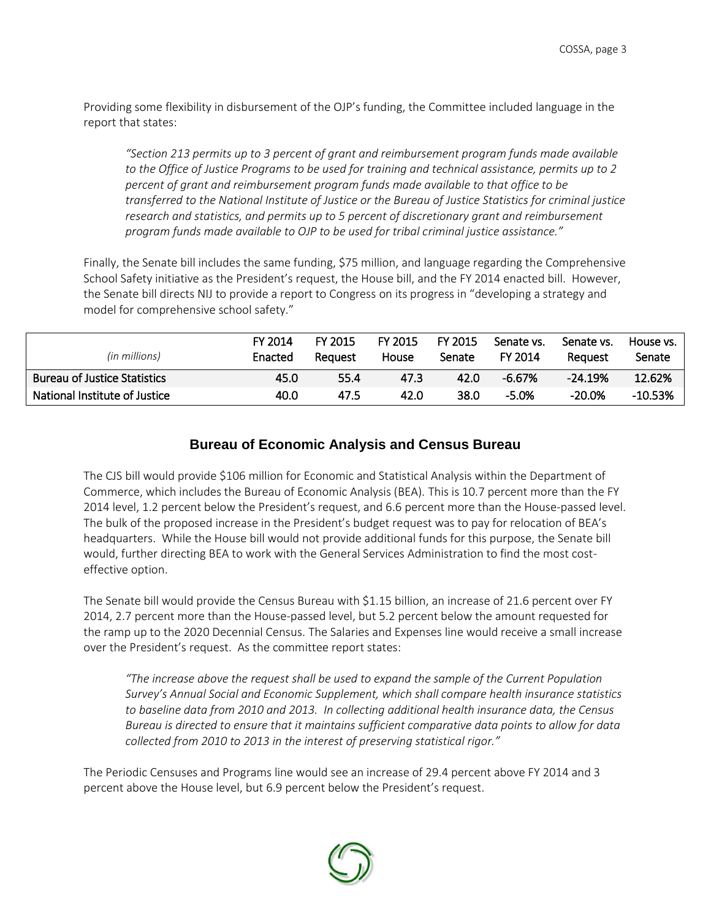Providing some flexibility in disbursement of the OJP's funding, the Committee included language in the report that states:

*"Section 213 permits up to 3 percent of grant and reimbursement program funds made available to the Office of Justice Programs to be used for training and technical assistance, permits up to 2 percent of grant and reimbursement program funds made available to that office to be transferred to the National Institute of Justice or the Bureau of Justice Statistics for criminal justice research and statistics, and permits up to 5 percent of discretionary grant and reimbursement program funds made available to OJP to be used for tribal criminal justice assistance."*

Finally, the Senate bill includes the same funding, \$75 million, and language regarding the Comprehensive School Safety initiative as the President's request, the House bill, and the FY 2014 enacted bill. However, the Senate bill directs NIJ to provide a report to Congress on its progress in "developing a strategy and model for comprehensive school safety."

| (in millions)                       | FY 2014<br>Enacted | FY 2015<br>Reauest | <b>FY 2015</b><br>House | <b>FY 2015</b><br>Senate | Senate vs.<br>FY 2014 | Senate vs.<br>Reauest | House vs.<br>Senate |
|-------------------------------------|--------------------|--------------------|-------------------------|--------------------------|-----------------------|-----------------------|---------------------|
| <b>Bureau of Justice Statistics</b> | 45.0               | 55.4               | 47.3                    | 42.0                     | $-6.67%$              | $-24.19%$             | 12.62%              |
| National Institute of Justice       | 40.0               | 47.5               | 42.0                    | 38.0                     | $-5.0%$               | -20.0%                | $-10.53%$           |

#### **Bureau of Economic Analysis and Census Bureau**

The CJS bill would provide \$106 million for Economic and Statistical Analysis within the Department of Commerce, which includes the Bureau of Economic Analysis (BEA). This is 10.7 percent more than the FY 2014 level, 1.2 percent below the President's request, and 6.6 percent more than the House-passed level. The bulk of the proposed increase in the President's budget request was to pay for relocation of BEA's headquarters. While the House bill would not provide additional funds for this purpose, the Senate bill would, further directing BEA to work with the General Services Administration to find the most costeffective option.

The Senate bill would provide the Census Bureau with \$1.15 billion, an increase of 21.6 percent over FY 2014, 2.7 percent more than the House-passed level, but 5.2 percent below the amount requested for the ramp up to the 2020 Decennial Census. The Salaries and Expenses line would receive a small increase over the President's request. As the committee report states:

*"The increase above the request shall be used to expand the sample of the Current Population Survey's Annual Social and Economic Supplement, which shall compare health insurance statistics to baseline data from 2010 and 2013. In collecting additional health insurance data, the Census Bureau is directed to ensure that it maintains sufficient comparative data points to allow for data collected from 2010 to 2013 in the interest of preserving statistical rigor."*

The Periodic Censuses and Programs line would see an increase of 29.4 percent above FY 2014 and 3 percent above the House level, but 6.9 percent below the President's request.